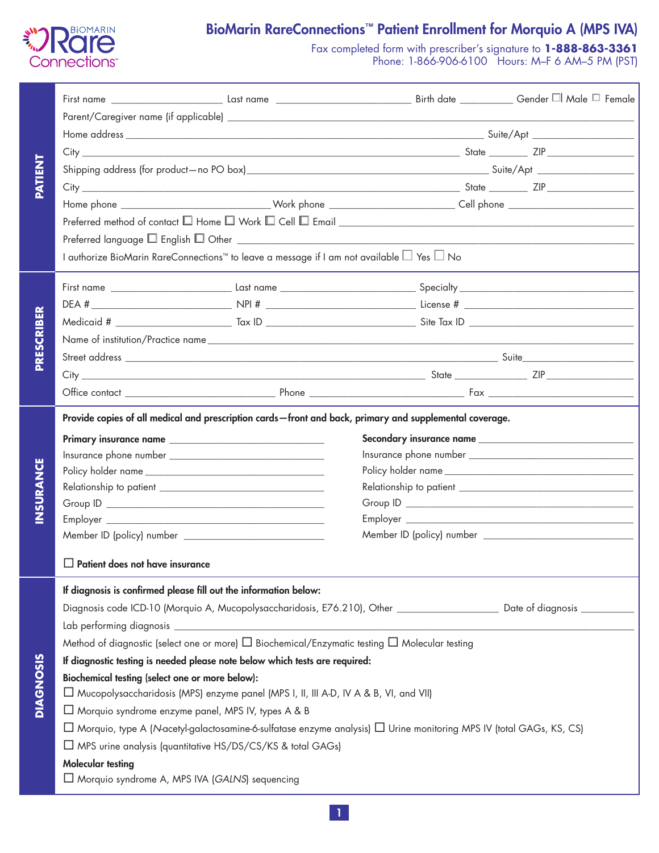

# BioMarin RareConnections™ Patient Enrollment for Morquio A (MPS IVA)

Fax completed form with prescriber's signature to **1-888-863-3361** Phone: 1-866-906-6100 Hours: M–F 6 AM–5 PM (PST)

|                  | $Preferred$ language $\square$ English $\square$ Other $\square$                                                                |                                                |  |  |  |  |  |  |  |
|------------------|---------------------------------------------------------------------------------------------------------------------------------|------------------------------------------------|--|--|--|--|--|--|--|
|                  | I authorize BioMarin RareConnections™ to leave a message if I am not available $\Box$ Yes $\Box$ No                             |                                                |  |  |  |  |  |  |  |
|                  |                                                                                                                                 |                                                |  |  |  |  |  |  |  |
|                  |                                                                                                                                 |                                                |  |  |  |  |  |  |  |
|                  |                                                                                                                                 |                                                |  |  |  |  |  |  |  |
|                  |                                                                                                                                 |                                                |  |  |  |  |  |  |  |
|                  |                                                                                                                                 |                                                |  |  |  |  |  |  |  |
|                  |                                                                                                                                 |                                                |  |  |  |  |  |  |  |
|                  |                                                                                                                                 |                                                |  |  |  |  |  |  |  |
|                  | Provide copies of all medical and prescription cards - front and back, primary and supplemental coverage.                       |                                                |  |  |  |  |  |  |  |
|                  |                                                                                                                                 |                                                |  |  |  |  |  |  |  |
|                  |                                                                                                                                 |                                                |  |  |  |  |  |  |  |
|                  |                                                                                                                                 |                                                |  |  |  |  |  |  |  |
|                  |                                                                                                                                 |                                                |  |  |  |  |  |  |  |
|                  |                                                                                                                                 |                                                |  |  |  |  |  |  |  |
|                  |                                                                                                                                 |                                                |  |  |  |  |  |  |  |
|                  |                                                                                                                                 |                                                |  |  |  |  |  |  |  |
|                  | $\Box$ Patient does not have insurance                                                                                          |                                                |  |  |  |  |  |  |  |
|                  | If diagnosis is confirmed please fill out the information below:                                                                |                                                |  |  |  |  |  |  |  |
|                  | Diagnosis code ICD-10 (Morquio A, Mucopolysaccharidosis, E76.210), Other ______________________ Date of diagnosis ___________   |                                                |  |  |  |  |  |  |  |
|                  |                                                                                                                                 |                                                |  |  |  |  |  |  |  |
|                  | Method of diagnostic (select one or more) □ Biochemical/Enzymatic testing □ Molecular testing                                   |                                                |  |  |  |  |  |  |  |
|                  | If diagnostic testing is needed please note below which tests are required:                                                     |                                                |  |  |  |  |  |  |  |
| <b>DIAGNOSIS</b> | Biochemical testing (select one or more below):                                                                                 |                                                |  |  |  |  |  |  |  |
|                  | □ Mucopolysaccharidosis (MPS) enzyme panel (MPS I, II, III A-D, IV A & B, VI, and VII)                                          |                                                |  |  |  |  |  |  |  |
|                  | □ Morquio syndrome enzyme panel, MPS IV, types A & B                                                                            |                                                |  |  |  |  |  |  |  |
|                  | $\Box$ Morquio, type A (N-acetyl-galactosamine-6-sulfatase enzyme analysis) $\Box$ Urine monitoring MPS IV (total GAGs, KS, CS) |                                                |  |  |  |  |  |  |  |
|                  | $\Box$ MPS urine analysis (quantitative HS/DS/CS/KS & total GAGs)                                                               |                                                |  |  |  |  |  |  |  |
|                  | <b>Molecular testing</b>                                                                                                        |                                                |  |  |  |  |  |  |  |
|                  |                                                                                                                                 | Morquio syndrome A, MPS IVA (GALNS) sequencing |  |  |  |  |  |  |  |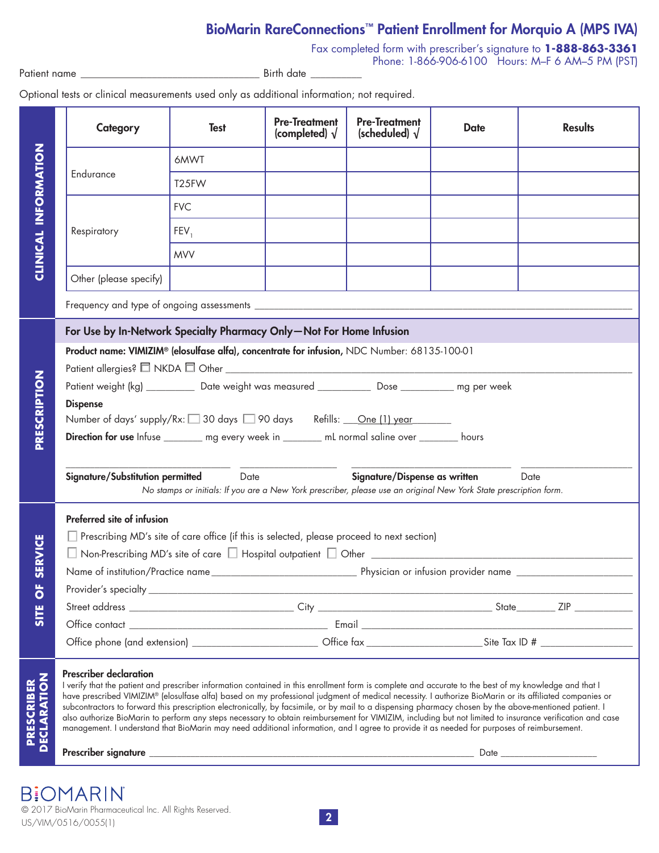## BioMarin RareConnections™ Patient Enrollment for Morquio A (MPS IVA)

Fax completed form with prescriber's signature to **1-888-863-3361** Phone: 1-866-906-6100 Hours: M–F 6 AM–5 PM (PST)

Patient name \_\_\_\_\_\_\_\_\_\_\_\_\_\_\_\_\_\_\_\_\_\_\_\_\_\_\_\_\_\_\_\_\_\_\_ Birth date \_\_\_\_\_\_\_\_\_\_

Optional tests or clinical measurements used only as additional information; not required.

|                             |                                                                                                                                                                                                                                                                                                                                                                                                                                                                                                                                                                                                                                                                                                                                                                                                                       | Category                                                                                       | <b>Test</b> | <b>Pre-Treatment</b><br>(completed) $\sqrt{}$ | <b>Pre-Treatment</b><br>(scheduled) $\sqrt{}$ | <b>Date</b> | <b>Results</b> |  |  |
|-----------------------------|-----------------------------------------------------------------------------------------------------------------------------------------------------------------------------------------------------------------------------------------------------------------------------------------------------------------------------------------------------------------------------------------------------------------------------------------------------------------------------------------------------------------------------------------------------------------------------------------------------------------------------------------------------------------------------------------------------------------------------------------------------------------------------------------------------------------------|------------------------------------------------------------------------------------------------|-------------|-----------------------------------------------|-----------------------------------------------|-------------|----------------|--|--|
|                             | Endurance                                                                                                                                                                                                                                                                                                                                                                                                                                                                                                                                                                                                                                                                                                                                                                                                             |                                                                                                | 6MWT        |                                               |                                               |             |                |  |  |
|                             |                                                                                                                                                                                                                                                                                                                                                                                                                                                                                                                                                                                                                                                                                                                                                                                                                       | T25FW                                                                                          |             |                                               |                                               |             |                |  |  |
|                             | Respiratory                                                                                                                                                                                                                                                                                                                                                                                                                                                                                                                                                                                                                                                                                                                                                                                                           | <b>FVC</b>                                                                                     |             |                                               |                                               |             |                |  |  |
|                             |                                                                                                                                                                                                                                                                                                                                                                                                                                                                                                                                                                                                                                                                                                                                                                                                                       | $FEV_1$                                                                                        |             |                                               |                                               |             |                |  |  |
| <b>CLINICAL INFORMATION</b> |                                                                                                                                                                                                                                                                                                                                                                                                                                                                                                                                                                                                                                                                                                                                                                                                                       |                                                                                                | <b>MVV</b>  |                                               |                                               |             |                |  |  |
|                             |                                                                                                                                                                                                                                                                                                                                                                                                                                                                                                                                                                                                                                                                                                                                                                                                                       | Other (please specify)                                                                         |             |                                               |                                               |             |                |  |  |
|                             |                                                                                                                                                                                                                                                                                                                                                                                                                                                                                                                                                                                                                                                                                                                                                                                                                       |                                                                                                |             |                                               |                                               |             |                |  |  |
|                             | For Use by In-Network Specialty Pharmacy Only-Not For Home Infusion                                                                                                                                                                                                                                                                                                                                                                                                                                                                                                                                                                                                                                                                                                                                                   |                                                                                                |             |                                               |                                               |             |                |  |  |
|                             |                                                                                                                                                                                                                                                                                                                                                                                                                                                                                                                                                                                                                                                                                                                                                                                                                       | Product name: VIMIZIM® (elosulfase alfa), concentrate for infusion, NDC Number: 68135-100-01   |             |                                               |                                               |             |                |  |  |
|                             |                                                                                                                                                                                                                                                                                                                                                                                                                                                                                                                                                                                                                                                                                                                                                                                                                       |                                                                                                |             |                                               |                                               |             |                |  |  |
| PRESCRIPTION                | Patient weight (kg) ___________ Date weight was measured ____________ Dose ___________ mg per week                                                                                                                                                                                                                                                                                                                                                                                                                                                                                                                                                                                                                                                                                                                    |                                                                                                |             |                                               |                                               |             |                |  |  |
|                             |                                                                                                                                                                                                                                                                                                                                                                                                                                                                                                                                                                                                                                                                                                                                                                                                                       | <b>Dispense</b><br>Number of days' supply/Rx: □ 30 days □ 90 days Refills: <u>One (1) year</u> |             |                                               |                                               |             |                |  |  |
|                             |                                                                                                                                                                                                                                                                                                                                                                                                                                                                                                                                                                                                                                                                                                                                                                                                                       | Direction for use Infuse ________ mg every week in _______ mL normal saline over _______ hours |             |                                               |                                               |             |                |  |  |
|                             |                                                                                                                                                                                                                                                                                                                                                                                                                                                                                                                                                                                                                                                                                                                                                                                                                       |                                                                                                |             |                                               |                                               |             |                |  |  |
|                             | Signature/Substitution permitted<br>Signature/Dispense as written<br>Date<br>Date<br>No stamps or initials: If you are a New York prescriber, please use an original New York State prescription form.                                                                                                                                                                                                                                                                                                                                                                                                                                                                                                                                                                                                                |                                                                                                |             |                                               |                                               |             |                |  |  |
|                             | Preferred site of infusion                                                                                                                                                                                                                                                                                                                                                                                                                                                                                                                                                                                                                                                                                                                                                                                            |                                                                                                |             |                                               |                                               |             |                |  |  |
|                             |                                                                                                                                                                                                                                                                                                                                                                                                                                                                                                                                                                                                                                                                                                                                                                                                                       | Prescribing MD's site of care office (if this is selected, please proceed to next section)     |             |                                               |                                               |             |                |  |  |
| SERVICE                     |                                                                                                                                                                                                                                                                                                                                                                                                                                                                                                                                                                                                                                                                                                                                                                                                                       |                                                                                                |             |                                               |                                               |             |                |  |  |
|                             |                                                                                                                                                                                                                                                                                                                                                                                                                                                                                                                                                                                                                                                                                                                                                                                                                       |                                                                                                |             |                                               |                                               |             |                |  |  |
| щ<br>$\bullet$              | Provider's specialty ______                                                                                                                                                                                                                                                                                                                                                                                                                                                                                                                                                                                                                                                                                                                                                                                           |                                                                                                |             |                                               |                                               |             |                |  |  |
| <b>SITE</b>                 |                                                                                                                                                                                                                                                                                                                                                                                                                                                                                                                                                                                                                                                                                                                                                                                                                       |                                                                                                |             |                                               |                                               |             |                |  |  |
|                             |                                                                                                                                                                                                                                                                                                                                                                                                                                                                                                                                                                                                                                                                                                                                                                                                                       |                                                                                                |             |                                               |                                               |             |                |  |  |
|                             |                                                                                                                                                                                                                                                                                                                                                                                                                                                                                                                                                                                                                                                                                                                                                                                                                       |                                                                                                |             |                                               |                                               |             |                |  |  |
| PRESCRIBER<br>DECLARATION   | <b>Prescriber declaration</b><br>I verify that the patient and prescriber information contained in this enrollment form is complete and accurate to the best of my knowledge and that I<br>have prescribed VIMIZIM® (elosulfase alfa) based on my professional judgment of medical necessity. I authorize BioMarin or its affiliated companies or<br>subcontractors to forward this prescription electronically, by facsimile, or by mail to a dispensing pharmacy chosen by the above-mentioned patient. I<br>also authorize BioMarin to perform any steps necessary to obtain reimbursement for VIMIZIM, including but not limited to insurance verification and case<br>management. I understand that BioMarin may need additional information, and I agree to provide it as needed for purposes of reimbursement. |                                                                                                |             |                                               |                                               |             |                |  |  |
|                             |                                                                                                                                                                                                                                                                                                                                                                                                                                                                                                                                                                                                                                                                                                                                                                                                                       |                                                                                                |             |                                               |                                               |             |                |  |  |

**BIOMARIN** © 2017 BioMarin Pharmaceutical Inc. All Rights Reserved.  $U$  US/VIM/0516/0055(1)  $2$